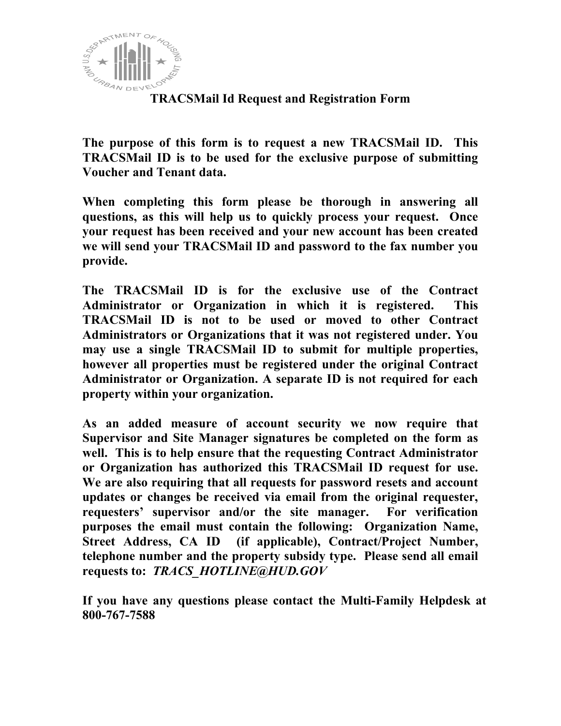

# **TRACSMail Id Request and Registration Form**

**The purpose of this form is to request a new TRACSMail ID. This TRACSMail ID is to be used for the exclusive purpose of submitting Voucher and Tenant data.** 

**When completing this form please be thorough in answering all questions, as this will help us to quickly process your request. Once your request has been received and your new account has been created we will send your TRACSMail ID and password to the fax number you provide.** 

**The TRACSMail ID is for the exclusive use of the Contract Administrator or Organization in which it is registered. This TRACSMail ID is not to be used or moved to other Contract Administrators or Organizations that it was not registered under. You may use a single TRACSMail ID to submit for multiple properties, however all properties must be registered under the original Contract Administrator or Organization. A separate ID is not required for each property within your organization.** 

**As an added measure of account security we now require that Supervisor and Site Manager signatures be completed on the form as well. This is to help ensure that the requesting Contract Administrator or Organization has authorized this TRACSMail ID request for use. We are also requiring that all requests for password resets and account updates or changes be received via email from the original requester, requesters' supervisor and/or the site manager. For verification purposes the email must contain the following: Organization Name, Street Address, CA ID (if applicable), Contract/Project Number, telephone number and the property subsidy type. Please send all email requests to:** *TRACS\_HOTLINE@HUD.GOV*

**If you have any questions please contact the Multi-Family Helpdesk at 800-767-7588**